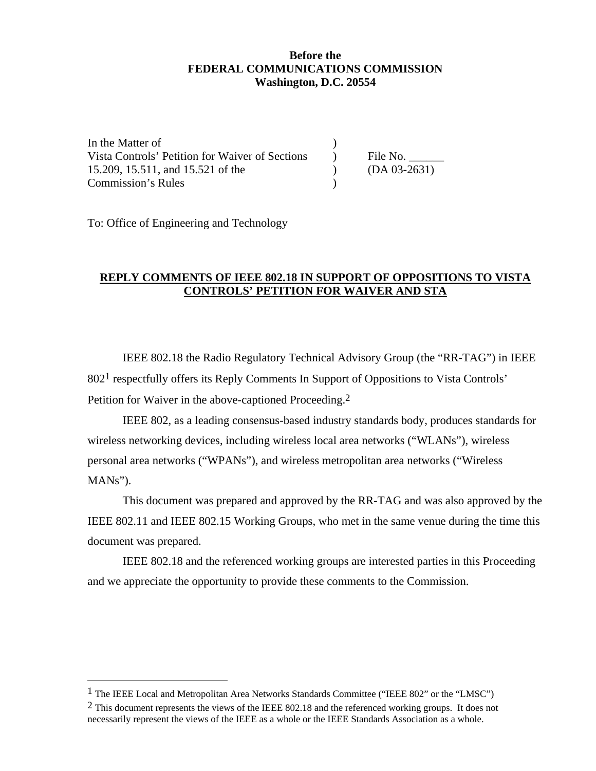## **Before the FEDERAL COMMUNICATIONS COMMISSION Washington, D.C. 20554**

In the Matter of  $\qquad \qquad$  ) Vista Controls' Petition for Waiver of Sections (a) File No. 15.209, 15.511, and 15.521 of the ) (DA 03-2631) Commission's Rules )

To: Office of Engineering and Technology

 $\overline{a}$ 

# **REPLY COMMENTS OF IEEE 802.18 IN SUPPORT OF OPPOSITIONS TO VISTA CONTROLS' PETITION FOR WAIVER AND STA**

IEEE 802.18 the Radio Regulatory Technical Advisory Group (the "RR-TAG") in IEEE 8021 respectfully offers its Reply Comments In Support of Oppositions to Vista Controls' Petition for Waiver in the above-captioned Proceeding.<sup>2</sup>

IEEE 802, as a leading consensus-based industry standards body, produces standards for wireless networking devices, including wireless local area networks ("WLANs"), wireless personal area networks ("WPANs"), and wireless metropolitan area networks ("Wireless MANs").

This document was prepared and approved by the RR-TAG and was also approved by the IEEE 802.11 and IEEE 802.15 Working Groups, who met in the same venue during the time this document was prepared.

IEEE 802.18 and the referenced working groups are interested parties in this Proceeding and we appreciate the opportunity to provide these comments to the Commission.

<sup>&</sup>lt;sup>1</sup> The IEEE Local and Metropolitan Area Networks Standards Committee ("IEEE 802" or the "LMSC")

 $2$  This document represents the views of the IEEE 802.18 and the referenced working groups. It does not necessarily represent the views of the IEEE as a whole or the IEEE Standards Association as a whole.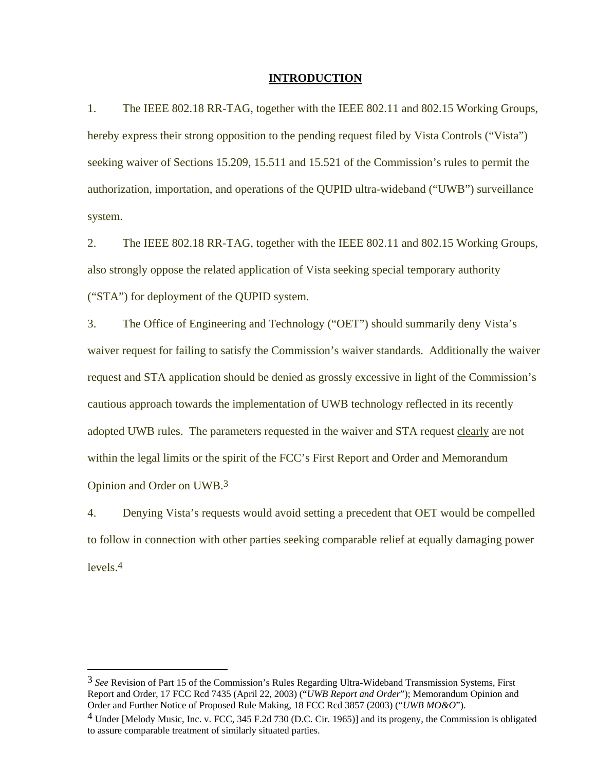#### **INTRODUCTION**

1. The IEEE 802.18 RR-TAG, together with the IEEE 802.11 and 802.15 Working Groups, hereby express their strong opposition to the pending request filed by Vista Controls ("Vista") seeking waiver of Sections 15.209, 15.511 and 15.521 of the Commission's rules to permit the authorization, importation, and operations of the QUPID ultra-wideband ("UWB") surveillance system.

2. The IEEE 802.18 RR-TAG, together with the IEEE 802.11 and 802.15 Working Groups, also strongly oppose the related application of Vista seeking special temporary authority ("STA") for deployment of the QUPID system.

3. The Office of Engineering and Technology ("OET") should summarily deny Vista's waiver request for failing to satisfy the Commission's waiver standards. Additionally the waiver request and STA application should be denied as grossly excessive in light of the Commission's cautious approach towards the implementation of UWB technology reflected in its recently adopted UWB rules. The parameters requested in the waiver and STA request clearly are not within the legal limits or the spirit of the FCC's First Report and Order and Memorandum Opinion and Order on UWB.3

4. Denying Vista's requests would avoid setting a precedent that OET would be compelled to follow in connection with other parties seeking comparable relief at equally damaging power levels.4

 $\overline{a}$ 

<sup>3</sup> *See* Revision of Part 15 of the Commission's Rules Regarding Ultra-Wideband Transmission Systems*,* First Report and Order, 17 FCC Rcd 7435 (April 22, 2003) ("*UWB Report and Order*"); Memorandum Opinion and Order and Further Notice of Proposed Rule Making, 18 FCC Rcd 3857 (2003) ("*UWB MO&O*").

<sup>&</sup>lt;sup>4</sup> Under [Melody Music, Inc. v. FCC, 345 F.2d 730 (D.C. Cir. 1965)] and its progeny, the Commission is obligated to assure comparable treatment of similarly situated parties.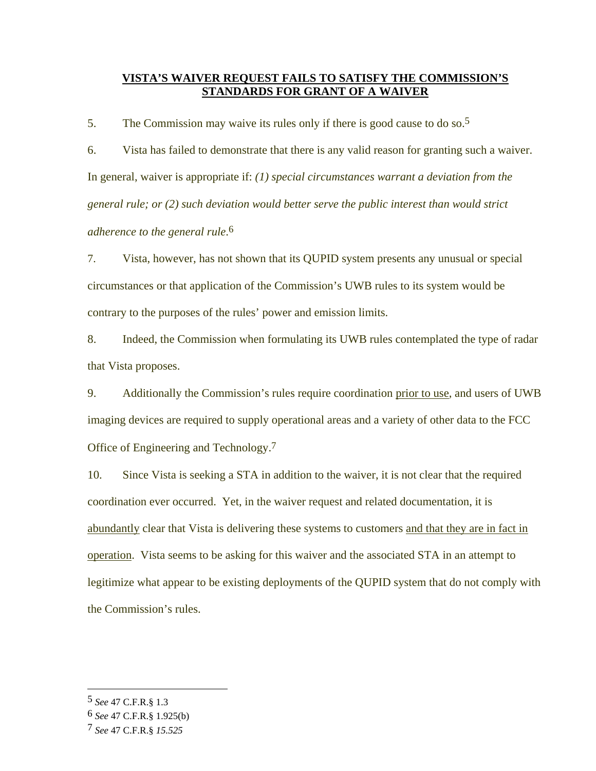### **VISTA'S WAIVER REQUEST FAILS TO SATISFY THE COMMISSION'S STANDARDS FOR GRANT OF A WAIVER**

5. The Commission may waive its rules only if there is good cause to do so.<sup>5</sup>

6. Vista has failed to demonstrate that there is any valid reason for granting such a waiver. In general, waiver is appropriate if: *(1) special circumstances warrant a deviation from the general rule; or (2) such deviation would better serve the public interest than would strict adherence to the general rule*. 6

7. Vista, however, has not shown that its QUPID system presents any unusual or special circumstances or that application of the Commission's UWB rules to its system would be contrary to the purposes of the rules' power and emission limits.

8. Indeed, the Commission when formulating its UWB rules contemplated the type of radar that Vista proposes.

9. Additionally the Commission's rules require coordination prior to use, and users of UWB imaging devices are required to supply operational areas and a variety of other data to the FCC Office of Engineering and Technology.7

10. Since Vista is seeking a STA in addition to the waiver, it is not clear that the required coordination ever occurred. Yet, in the waiver request and related documentation, it is abundantly clear that Vista is delivering these systems to customers and that they are in fact in operation. Vista seems to be asking for this waiver and the associated STA in an attempt to legitimize what appear to be existing deployments of the QUPID system that do not comply with the Commission's rules.

l

<sup>5</sup> *See* 47 C.F.R.§ 1.3

<sup>6</sup> *See* 47 C.F.R.§ 1.925(b)

<sup>7</sup> *See* 47 C.F.R.§ *15.525*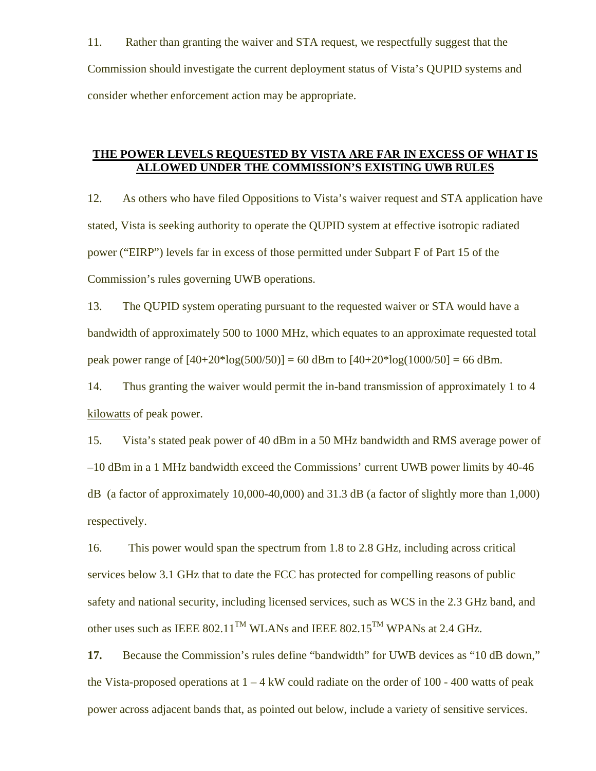11. Rather than granting the waiver and STA request, we respectfully suggest that the Commission should investigate the current deployment status of Vista's QUPID systems and consider whether enforcement action may be appropriate.

#### **THE POWER LEVELS REQUESTED BY VISTA ARE FAR IN EXCESS OF WHAT IS ALLOWED UNDER THE COMMISSION'S EXISTING UWB RULES**

12. As others who have filed Oppositions to Vista's waiver request and STA application have stated, Vista is seeking authority to operate the QUPID system at effective isotropic radiated power ("EIRP") levels far in excess of those permitted under Subpart F of Part 15 of the Commission's rules governing UWB operations.

13. The QUPID system operating pursuant to the requested waiver or STA would have a bandwidth of approximately 500 to 1000 MHz, which equates to an approximate requested total peak power range of  $[40+20*log(500/50)] = 60$  dBm to  $[40+20*log(1000/50)] = 66$  dBm.

14. Thus granting the waiver would permit the in-band transmission of approximately 1 to 4 kilowatts of peak power.

15. Vista's stated peak power of 40 dBm in a 50 MHz bandwidth and RMS average power of –10 dBm in a 1 MHz bandwidth exceed the Commissions' current UWB power limits by 40-46 dB (a factor of approximately 10,000-40,000) and 31.3 dB (a factor of slightly more than 1,000) respectively.

16. This power would span the spectrum from 1.8 to 2.8 GHz, including across critical services below 3.1 GHz that to date the FCC has protected for compelling reasons of public safety and national security, including licensed services, such as WCS in the 2.3 GHz band, and other uses such as IEEE 802.11<sup>TM</sup> WLANs and IEEE 802.15<sup>TM</sup> WPANs at 2.4 GHz.

**17.** Because the Commission's rules define "bandwidth" for UWB devices as "10 dB down," the Vista-proposed operations at  $1 - 4$  kW could radiate on the order of 100 - 400 watts of peak power across adjacent bands that, as pointed out below, include a variety of sensitive services.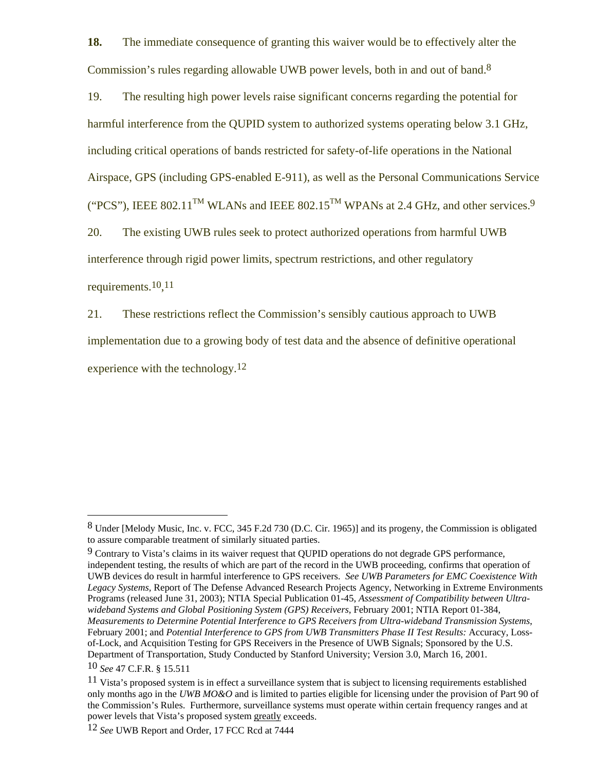**18.** The immediate consequence of granting this waiver would be to effectively alter the Commission's rules regarding allowable UWB power levels, both in and out of band.<sup>8</sup>

19. The resulting high power levels raise significant concerns regarding the potential for harmful interference from the QUPID system to authorized systems operating below 3.1 GHz, including critical operations of bands restricted for safety-of-life operations in the National Airspace, GPS (including GPS-enabled E-911), as well as the Personal Communications Service ("PCS"), IEEE 802.11<sup>TM</sup> WLANs and IEEE 802.15<sup>TM</sup> WPANs at 2.4 GHz, and other services.<sup>9</sup> 20. The existing UWB rules seek to protect authorized operations from harmful UWB interference through rigid power limits, spectrum restrictions, and other regulatory requirements.<sup>10,11</sup>

21. These restrictions reflect the Commission's sensibly cautious approach to UWB implementation due to a growing body of test data and the absence of definitive operational experience with the technology.<sup>12</sup>

 $\overline{a}$ 

<sup>8</sup> Under [Melody Music, Inc. v. FCC, 345 F.2d 730 (D.C. Cir. 1965)] and its progeny, the Commission is obligated to assure comparable treatment of similarly situated parties.

 $9$  Contrary to Vista's claims in its waiver request that QUPID operations do not degrade GPS performance, independent testing, the results of which are part of the record in the UWB proceeding, confirms that operation of UWB devices do result in harmful interference to GPS receivers. *See UWB Parameters for EMC Coexistence With Legacy Systems,* Report of The Defense Advanced Research Projects Agency, Networking in Extreme Environments Programs (released June 31, 2003); NTIA Special Publication 01-45, *Assessment of Compatibility between Ultrawideband Systems and Global Positioning System (GPS) Receivers*, February 2001; NTIA Report 01-384, *Measurements to Determine Potential Interference to GPS Receivers from Ultra-wideband Transmission Systems*, February 2001; and *Potential Interference to GPS from UWB Transmitters Phase II Test Results: Accuracy*, Lossof-Lock, and Acquisition Testing for GPS Receivers in the Presence of UWB Signals; Sponsored by the U.S. Department of Transportation, Study Conducted by Stanford University; Version 3.0, March 16, 2001.

<sup>10</sup> *See* 47 C.F.R. § 15.511

 $11$  Vista's proposed system is in effect a surveillance system that is subject to licensing requirements established only months ago in the *UWB MO&O* and is limited to parties eligible for licensing under the provision of Part 90 of the Commission's Rules. Furthermore, surveillance systems must operate within certain frequency ranges and at power levels that Vista's proposed system greatly exceeds.

<sup>12</sup> *See* UWB Report and Order, 17 FCC Rcd at 7444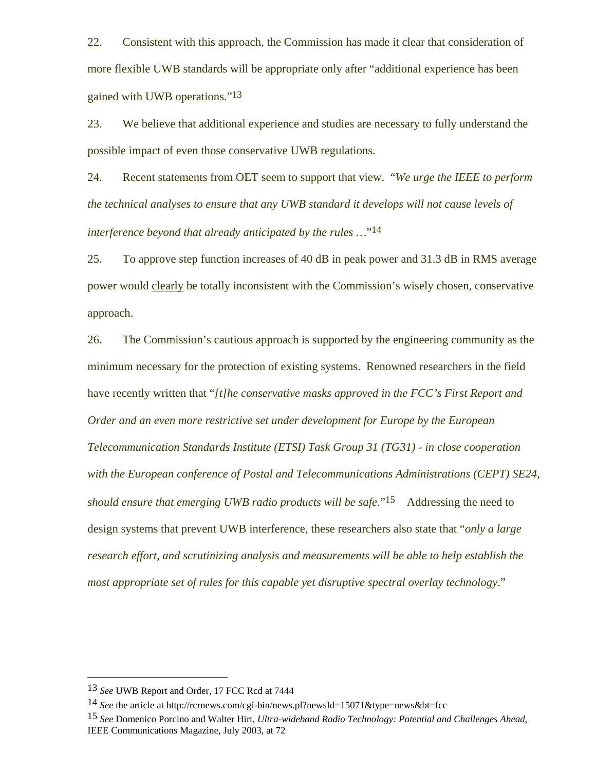22. Consistent with this approach, the Commission has made it clear that consideration of more flexible UWB standards will be appropriate only after "additional experience has been gained with UWB operations."13

23. We believe that additional experience and studies are necessary to fully understand the possible impact of even those conservative UWB regulations.

24. Recent statements from OET seem to support that view. "*We urge the IEEE to perform the technical analyses to ensure that any UWB standard it develops will not cause levels of interference beyond that already anticipated by the rules …*"14

25. To approve step function increases of 40 dB in peak power and 31.3 dB in RMS average power would clearly be totally inconsistent with the Commission's wisely chosen, conservative approach.

26. The Commission's cautious approach is supported by the engineering community as the minimum necessary for the protection of existing systems. Renowned researchers in the field have recently written that "*[t]he conservative masks approved in the FCC's First Report and Order and an even more restrictive set under development for Europe by the European Telecommunication Standards Institute (ETSI) Task Group 31 (TG31) - in close cooperation with the European conference of Postal and Telecommunications Administrations (CEPT) SE24, should ensure that emerging UWB radio products will be safe.*"<sup>15</sup> Addressing the need to design systems that prevent UWB interference, these researchers also state that "*only a large research effort, and scrutinizing analysis and measurements will be able to help establish the most appropriate set of rules for this capable yet disruptive spectral overlay technology*."

 $\overline{a}$ 

<sup>13</sup> *See* UWB Report and Order, 17 FCC Rcd at 7444

<sup>14</sup> *See* the article at http://rcrnews.com/cgi-bin/news.pl?newsId=15071&type=news&bt=fcc

<sup>15</sup> *See* Domenico Porcino and Walter Hirt, *Ultra-wideband Radio Technology: Potential and Challenges Ahead*, IEEE Communications Magazine, July 2003, at 72